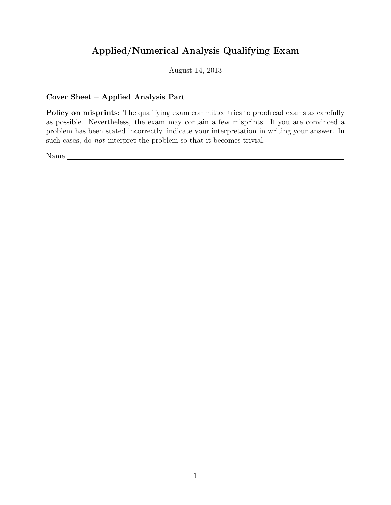# Applied/Numerical Analysis Qualifying Exam

August 14, 2013

## Cover Sheet – Applied Analysis Part

Policy on misprints: The qualifying exam committee tries to proofread exams as carefully as possible. Nevertheless, the exam may contain a few misprints. If you are convinced a problem has been stated incorrectly, indicate your interpretation in writing your answer. In such cases, do *not* interpret the problem so that it becomes trivial.

Name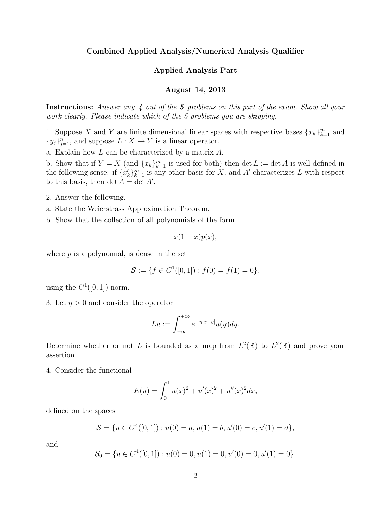#### Combined Applied Analysis/Numerical Analysis Qualifier

### Applied Analysis Part

### August 14, 2013

Instructions: Answer any 4 out of the 5 problems on this part of the exam. Show all your work clearly. Please indicate which of the 5 problems you are skipping.

1. Suppose X and Y are finite dimensional linear spaces with respective bases  ${x_k}_{k=1}^m$  and  $\{y_j\}_{j=1}^n$ , and suppose  $L: X \to Y$  is a linear operator.

a. Explain how L can be characterized by a matrix A.

b. Show that if  $Y = X$  (and  $\{x_k\}_{k=1}^m$  is used for both) then  $\det L := \det A$  is well-defined in the following sense: if  ${x<sub>k</sub>}^m_{k=1}$  is any other basis for X, and A' characterizes L with respect to this basis, then  $\det A = \det A'$ .

- 2. Answer the following.
- a. State the Weierstrass Approximation Theorem.
- b. Show that the collection of all polynomials of the form

$$
x(1-x)p(x),
$$

where  $p$  is a polynomial, is dense in the set

$$
\mathcal{S} := \{ f \in C^1([0,1]) : f(0) = f(1) = 0 \},
$$

using the  $C^1([0,1])$  norm.

3. Let  $\eta > 0$  and consider the operator

$$
Lu := \int_{-\infty}^{+\infty} e^{-\eta |x-y|} u(y) dy.
$$

Determine whether or not L is bounded as a map from  $L^2(\mathbb{R})$  to  $L^2(\mathbb{R})$  and prove your assertion.

4. Consider the functional

$$
E(u) = \int_0^1 u(x)^2 + u'(x)^2 + u''(x)^2 dx,
$$

defined on the spaces

$$
S = \{u \in C^4([0,1]) : u(0) = a, u(1) = b, u'(0) = c, u'(1) = d\},\
$$

and

$$
\mathcal{S}_0 = \{ u \in C^4([0,1]) : u(0) = 0, u(1) = 0, u'(0) = 0, u'(1) = 0 \}.
$$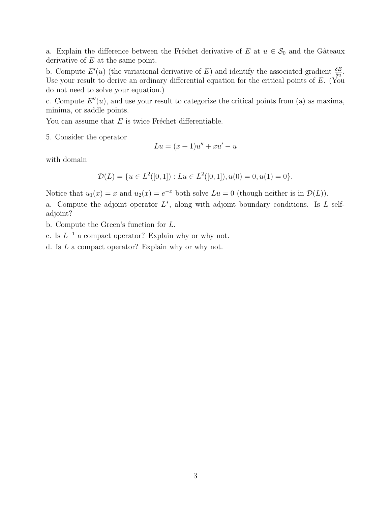a. Explain the difference between the Fréchet derivative of E at  $u \in \mathcal{S}_0$  and the Gâteaux derivative of  $E$  at the same point.

b. Compute  $E'(u)$  (the variational derivative of E) and identify the associated gradient  $\frac{\delta E}{\delta u}$ . Use your result to derive an ordinary differential equation for the critical points of E. (You do not need to solve your equation.)

c. Compute  $E''(u)$ , and use your result to categorize the critical points from (a) as maxima, minima, or saddle points.

You can assume that  $E$  is twice Fréchet differentiable.

5. Consider the operator

 $Lu = (x+1)u'' + xu' - u$ 

with domain

$$
\mathcal{D}(L) = \{ u \in L^2([0,1]) : Lu \in L^2([0,1]), u(0) = 0, u(1) = 0 \}.
$$

Notice that  $u_1(x) = x$  and  $u_2(x) = e^{-x}$  both solve  $Lu = 0$  (though neither is in  $\mathcal{D}(L)$ ).

a. Compute the adjoint operator  $L^*$ , along with adjoint boundary conditions. Is  $L$  selfadjoint?

b. Compute the Green's function for L.

c. Is  $L^{-1}$  a compact operator? Explain why or why not.

d. Is L a compact operator? Explain why or why not.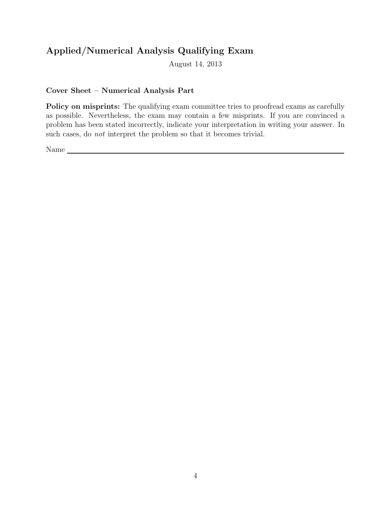# Applied/Numerical Analysis Qualifying Exam

August 14, 2013

## Cover Sheet – Numerical Analysis Part

Policy on misprints: The qualifying exam committee tries to proofread exams as carefully as possible. Nevertheless, the exam may contain a few misprints. If you are convinced a problem has been stated incorrectly, indicate your interpretation in writing your answer. In such cases, do not interpret the problem so that it becomes trivial.

Name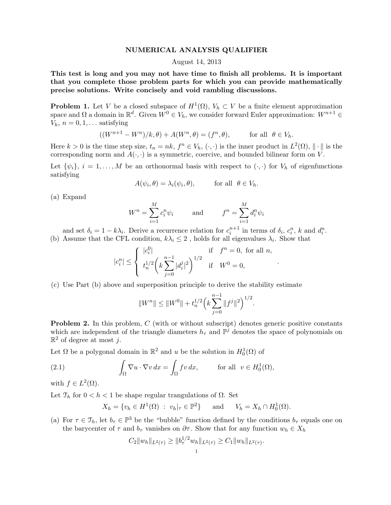#### NUMERICAL ANALYSIS QUALIFIER

#### August 14, 2013

This test is long and you may not have time to finish all problems. It is important that you complete those problem parts for which you can provide mathematically precise solutions. Write concisely and void rambling discussions.

**Problem 1.** Let V be a closed subspace of  $H^1(\Omega)$ ,  $V_h \subset V$  be a finite element approximation space and  $\Omega$  a domain in  $\mathbb{R}^d$ . Given  $W^0 \in V_h$ , we consider forward Euler approximation:  $W^{n+1} \in$  $V_h$ ,  $n = 0, 1, \ldots$  satisfying

$$
((W^{n+1} - W^n)/k, \theta) + A(W^n, \theta) = (f^n, \theta),
$$
 for all  $\theta \in V_h$ .

Here  $k > 0$  is the time step size,  $t_n = nk$ ,  $f^n \in V_h$ ,  $(\cdot, \cdot)$  is the inner product in  $L^2(\Omega)$ ,  $\|\cdot\|$  is the corresponding norm and  $A(\cdot, \cdot)$  is a symmetric, coercive, and bounded bilinear form on V.

Let  $\{\psi_i\}, i = 1, \ldots, M$  be an orthonormal basis with respect to  $(\cdot, \cdot)$  for  $V_h$  of eigenfunctions satisfying

$$
A(\psi_i, \theta) = \lambda_i(\psi_i, \theta), \quad \text{for all } \theta \in V_h.
$$

(a) Expand

$$
W^n = \sum_{i=1}^M c_i^n \psi_i \qquad \text{and} \qquad f^n = \sum_{i=1}^M d_i^n \psi_i
$$

and set  $\delta_i = 1 - k\lambda_i$ . Derive a recurrence relation for  $c_i^{n+1}$  in terms of  $\delta_i$ ,  $c_i^n$ , k and  $d_i^n$ .

(b) Assume that the CFL condition,  $k\lambda_i \leq 2$ , holds for all eigenvalues  $\lambda_i$ . Show that

$$
|c_i^n| \le \begin{cases} |c_i^0| & \text{if } f^n = 0, \text{ for all } n, \\ t_n^{1/2} \left( k \sum_{j=0}^{n-1} |d_i^j|^2 \right)^{1/2} & \text{if } W^0 = 0, \end{cases}
$$

.

(c) Use Part (b) above and superposition principle to derive the stability estimate

$$
||W^{n}|| \leq ||W^{0}|| + t_n^{1/2} \left(k \sum_{j=0}^{n-1} ||f^j||^2\right)^{1/2}.
$$

**Problem 2.** In this problem,  $C$  (with or without subscript) denotes generic positive constants which are independent of the triangle diameters  $h_{\tau}$  and  $\mathbb{P}^{\bar{j}}$  denotes the space of polynomials on  $\mathbb{R}^2$  of degree at most j.

Let  $\Omega$  be a polygonal domain in  $\mathbb{R}^2$  and u be the solution in  $H_0^1(\Omega)$  of

(2.1) 
$$
\int_{\Omega} \nabla u \cdot \nabla v \, dx = \int_{\Omega} fv \, dx, \quad \text{for all } v \in H_0^1(\Omega),
$$

with  $f \in L^2(\Omega)$ .

Let  $\mathcal{T}_h$  for  $0 < h < 1$  be shape regular trangulations of  $\Omega$ . Set

$$
X_h = \{v_h \in H^1(\Omega) : v_h|_{\tau} \in \mathbb{P}^2\}
$$
 and  $V_h = X_h \cap H_0^1(\Omega)$ .

(a) For  $\tau \in \mathcal{T}_h$ , let  $b_\tau \in \mathbb{P}^3$  be the "bubble" function defined by the conditions  $b_\tau$  equals one on the barycenter of  $\tau$  and  $b_{\tau}$  vanishes on  $\partial \tau$ . Show that for any function  $w_h \in X_h$ 

$$
C_2||w_h||_{L^2(\tau)} \ge ||b_{\tau}^{1/2}w_h||_{L^2(\tau)} \ge C_1||w_h||_{L^2(\tau)}.
$$